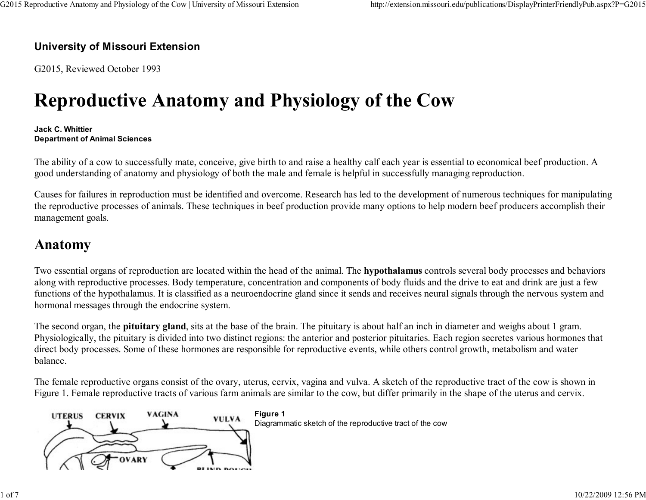### University of Missouri Extension

G2015, Reviewed October 1993

# Reproductive Anatomy and Physiology of the Cow

#### Jack C. WhittierDepartment of Animal Sciences

The ability of a cow to successfully mate, conceive, give birth to and raise a healthy calf each year is essential to economical beef production. Agood understanding of anatomy and physiology of both the male and female is helpful in successfully managing reproduction.

Causes for failures in reproduction must be identified and overcome. Research has led to the development of numerous techniques for manipulatingthe reproductive processes of animals. These techniques in beef production provide many options to help modern beef producers accomplish theirmanagement goals.

### Anatomy

Two essential organs of reproduction are located within the head of the animal. The hypothalamus controls several body processes and behaviorsalong with reproductive processes. Body temperature, concentration and components of body fluids and the drive to eat and drink are just a few functions of the hypothalamus. It is classified as a neuroendocrine gland since it sends and receives neural signals through the nervous system andhormonal messages through the endocrine system.

The second organ, the **pituitary gland**, sits at the base of the brain. The pituitary is about half an inch in diameter and weighs about 1 gram. Physiologically, the pituitary is divided into two distinct regions: the anterior and posterior pituitaries. Each region secretes various hormones thatdirect body processes. Some of these hormones are responsible for reproductive events, while others control growth, metabolism and waterbalance.

The female reproductive organs consist of the ovary, uterus, cervix, vagina and vulva. A sketch of the reproductive tract of the cow is shown inFigure 1. Female reproductive tracts of various farm animals are similar to the cow, but differ primarily in the shape of the uterus and cervix.

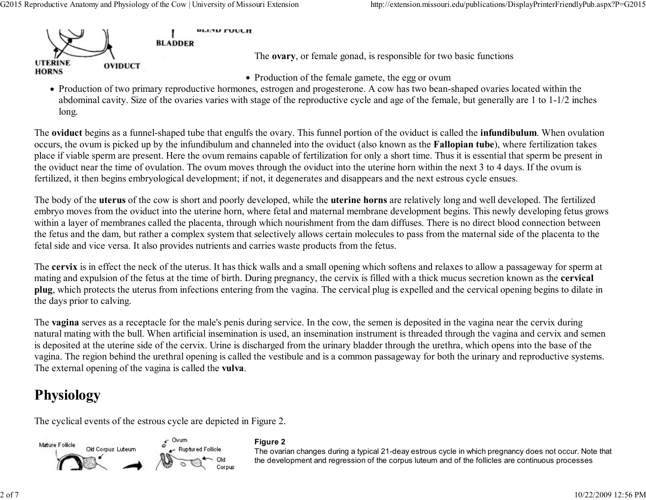

 Production of two primary reproductive hormones, estrogen and progesterone. A cow has two bean-shaped ovaries located within the abdominal cavity. Size of the ovaries varies with stage of the reproductive cycle and age of the female, but generally are 1 to 1-1/2 incheslong.

The **oviduct** begins as a funnel-shaped tube that engulfs the ovary. This funnel portion of the oviduct is called the **infundibulum**. When ovulation occurs, the ovum is picked up by the infundibulum and channeled into the oviduct (also known as the Fallopian tube), where fertilization takes place if viable sperm are present. Here the ovum remains capable of fertilization for only a short time. Thus it is essential that sperm be present inthe oviduct near the time of ovulation. The ovum moves through the oviduct into the uterine horn within the next 3 to 4 days. If the ovum isfertilized, it then begins embryological development; if not, it degenerates and disappears and the next estrous cycle ensues.

The body of the **uterus** of the cow is short and poorly developed, while the **uterine horns** are relatively long and well developed. The fertilized embryo moves from the oviduct into the uterine horn, where fetal and maternal membrane development begins. This newly developing fetus growswithin a layer of membranes called the placenta, through which nourishment from the dam diffuses. There is no direct blood connection between the fetus and the dam, but rather a complex system that selectively allows certain molecules to pass from the maternal side of the placenta to thefetal side and vice versa. It also provides nutrients and carries waste products from the fetus.

The cervix is in effect the neck of the uterus. It has thick walls and a small opening which softens and relaxes to allow a passageway for sperm at mating and expulsion of the fetus at the time of birth. During pregnancy, the cervix is filled with a thick mucus secretion known as the cervical plug, which protects the uterus from infections entering from the vagina. The cervical plug is expelled and the cervical opening begins to dilate inthe days prior to calving.

The vagina serves as a receptacle for the male's penis during service. In the cow, the semen is deposited in the vagina near the cervix during natural mating with the bull. When artificial insemination is used, an insemination instrument is threaded through the vagina and cervix and semenis deposited at the uterine side of the cervix. Urine is discharged from the urinary bladder through the urethra, which opens into the base of the vagina. The region behind the urethral opening is called the vestibule and is a common passageway for both the urinary and reproductive systems.The external opening of the vagina is called the vulva.

# Physiology

The cyclical events of the estrous cycle are depicted in Figure 2.



#### Figure 2

 The ovarian changes during a typical 21-deay estrous cycle in which pregnancy does not occur. Note thatthe development and regression of the corpus luteum and of the follicles are continuous processes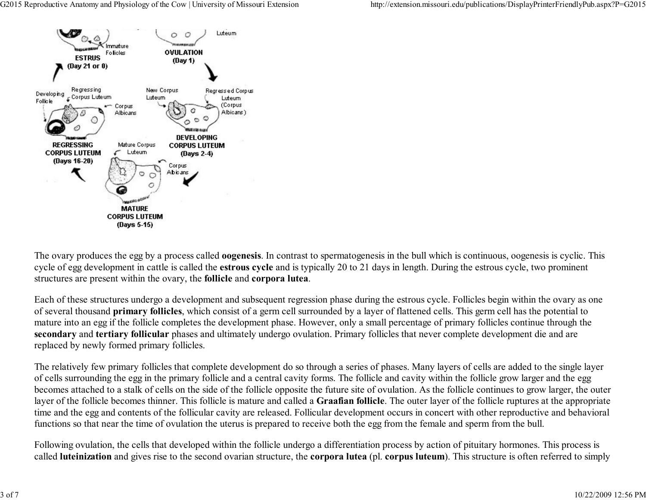

The ovary produces the egg by a process called **oogenesis**. In contrast to spermatogenesis in the bull which is continuous, oogenesis is cyclic. This cycle of egg development in cattle is called the estrous cycle and is typically 20 to 21 days in length. During the estrous cycle, two prominentstructures are present within the ovary, the follicle and corpora lutea.

Each of these structures undergo a development and subsequent regression phase during the estrous cycle. Follicles begin within the ovary as oneof several thousand primary follicles, which consist of a germ cell surrounded by a layer of flattened cells. This germ cell has the potential to mature into an egg if the follicle completes the development phase. However, only a small percentage of primary follicles continue through thesecondary and tertiary follicular phases and ultimately undergo ovulation. Primary follicles that never complete development die and are replaced by newly formed primary follicles.

The relatively few primary follicles that complete development do so through a series of phases. Many layers of cells are added to the single layerof cells surrounding the egg in the primary follicle and a central cavity forms. The follicle and cavity within the follicle grow larger and the egg becomes attached to a stalk of cells on the side of the follicle opposite the future site of ovulation. As the follicle continues to grow larger, the outerlayer of the follicle becomes thinner. This follicle is mature and called a Graafian follicle. The outer layer of the follicle ruptures at the appropriate time and the egg and contents of the follicular cavity are released. Follicular development occurs in concert with other reproductive and behavioralfunctions so that near the time of ovulation the uterus is prepared to receive both the egg from the female and sperm from the bull.

Following ovulation, the cells that developed within the follicle undergo a differentiation process by action of pituitary hormones. This process iscalled luteinization and gives rise to the second ovarian structure, the corpora lutea (pl. corpus luteum). This structure is often referred to simply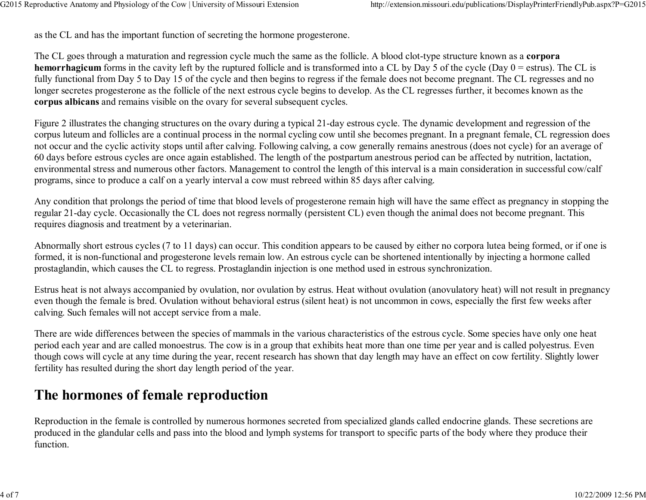as the CL and has the important function of secreting the hormone progesterone.

The CL goes through a maturation and regression cycle much the same as the follicle. A blood clot-type structure known as a corpora hemorrhagicum forms in the cavity left by the ruptured follicle and is transformed into a CL by Day 5 of the cycle (Day 0 = estrus). The CL is fully functional from Day 5 to Day 15 of the cycle and then begins to regress if the female does not become pregnant. The CL regresses and nolonger secretes progesterone as the follicle of the next estrous cycle begins to develop. As the CL regresses further, it becomes known as thecorpus albicans and remains visible on the ovary for several subsequent cycles.

Figure 2 illustrates the changing structures on the ovary during a typical 21-day estrous cycle. The dynamic development and regression of the corpus luteum and follicles are a continual process in the normal cycling cow until she becomes pregnant. In a pregnant female, CL regression doesnot occur and the cyclic activity stops until after calving. Following calving, a cow generally remains anestrous (does not cycle) for an average of60 days before estrous cycles are once again established. The length of the postpartum anestrous period can be affected by nutrition, lactation, environmental stress and numerous other factors. Management to control the length of this interval is a main consideration in successful cow/calfprograms, since to produce a calf on a yearly interval a cow must rebreed within 85 days after calving.

Any condition that prolongs the period of time that blood levels of progesterone remain high will have the same effect as pregnancy in stopping theregular 21-day cycle. Occasionally the CL does not regress normally (persistent CL) even though the animal does not become pregnant. Thisrequires diagnosis and treatment by a veterinarian.

Abnormally short estrous cycles (7 to 11 days) can occur. This condition appears to be caused by either no corpora lutea being formed, or if one isformed, it is non-functional and progesterone levels remain low. An estrous cycle can be shortened intentionally by injecting a hormone calledprostaglandin, which causes the CL to regress. Prostaglandin injection is one method used in estrous synchronization.

Estrus heat is not always accompanied by ovulation, nor ovulation by estrus. Heat without ovulation (anovulatory heat) will not result in pregnancyeven though the female is bred. Ovulation without behavioral estrus (silent heat) is not uncommon in cows, especially the first few weeks aftercalving. Such females will not accept service from a male.

There are wide differences between the species of mammals in the various characteristics of the estrous cycle. Some species have only one heat period each year and are called monoestrus. The cow is in a group that exhibits heat more than one time per year and is called polyestrus. Even though cows will cycle at any time during the year, recent research has shown that day length may have an effect on cow fertility. Slightly lowerfertility has resulted during the short day length period of the year.

## The hormones of female reproduction

Reproduction in the female is controlled by numerous hormones secreted from specialized glands called endocrine glands. These secretions are produced in the glandular cells and pass into the blood and lymph systems for transport to specific parts of the body where they produce theirfunction.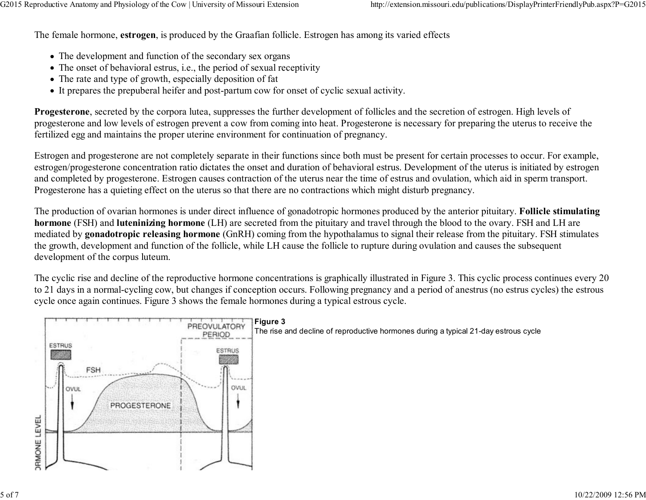The female hormone, estrogen, is produced by the Graafian follicle. Estrogen has among its varied effects

- The development and function of the secondary sex organs
- The onset of behavioral estrus, i.e., the period of sexual receptivity
- The rate and type of growth, especially deposition of fat
- It prepares the prepuberal heifer and post-partum cow for onset of cyclic sexual activity.

Progesterone, secreted by the corpora lutea, suppresses the further development of follicles and the secretion of estrogen. High levels of progesterone and low levels of estrogen prevent a cow from coming into heat. Progesterone is necessary for preparing the uterus to receive thefertilized egg and maintains the proper uterine environment for continuation of pregnancy.

Estrogen and progesterone are not completely separate in their functions since both must be present for certain processes to occur. For example, estrogen/progesterone concentration ratio dictates the onset and duration of behavioral estrus. Development of the uterus is initiated by estrogenand completed by progesterone. Estrogen causes contraction of the uterus near the time of estrus and ovulation, which aid in sperm transport.Progesterone has a quieting effect on the uterus so that there are no contractions which might disturb pregnancy.

The production of ovarian hormones is under direct influence of gonadotropic hormones produced by the anterior pituitary. Follicle stimulating hormone (FSH) and luteninizing hormone (LH) are secreted from the pituitary and travel through the blood to the ovary. FSH and LH are mediated by **gonadotropic releasing hormone** (GnRH) coming from the hypothalamus to signal their release from the pituitary. FSH stimulates the growth, development and function of the follicle, while LH cause the follicle to rupture during ovulation and causes the subsequentdevelopment of the corpus luteum.

The cyclic rise and decline of the reproductive hormone concentrations is graphically illustrated in Figure 3. This cyclic process continues every 20 to 21 days in a normal-cycling cow, but changes if conception occurs. Following pregnancy and a period of anestrus (no estrus cycles) the estrouscycle once again continues. Figure 3 shows the female hormones during a typical estrous cycle.

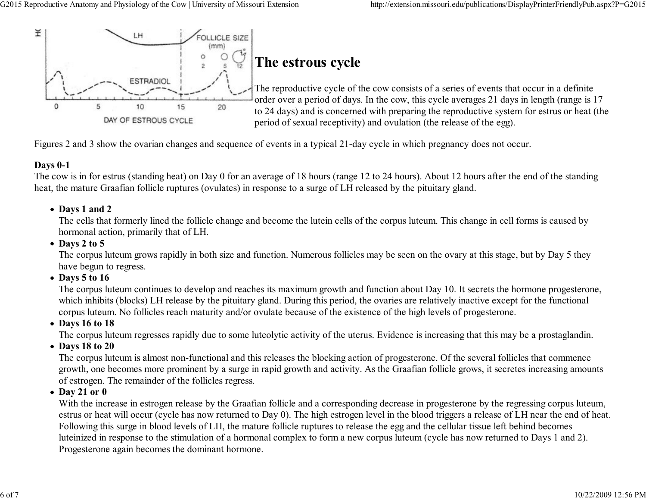

The reproductive cycle of the cow consists of a series of events that occur in a definite order over a period of days. In the cow, this cycle averages 21 days in length (range is 17 to 24 days) and is concerned with preparing the reproductive system for estrus or heat (theperiod of sexual receptivity) and ovulation (the release of the egg).

Figures 2 and 3 show the ovarian changes and sequence of events in a typical 21-day cycle in which pregnancy does not occur.

#### Days 0-1

 The cow is in for estrus (standing heat) on Day 0 for an average of 18 hours (range 12 to 24 hours). About 12 hours after the end of the standingheat, the mature Graafian follicle ruptures (ovulates) in response to a surge of LH released by the pituitary gland.

### Days 1 and 2

 The cells that formerly lined the follicle change and become the lutein cells of the corpus luteum. This change in cell forms is caused byhormonal action, primarily that of LH.

### • Days 2 to 5

 The corpus luteum grows rapidly in both size and function. Numerous follicles may be seen on the ovary at this stage, but by Day 5 theyhave begun to regress.

• Days 5 to 16

 The corpus luteum continues to develop and reaches its maximum growth and function about Day 10. It secrets the hormone progesterone,which inhibits (blocks) LH release by the pituitary gland. During this period, the ovaries are relatively inactive except for the functionalcorpus luteum. No follicles reach maturity and/or ovulate because of the existence of the high levels of progesterone.

• Days 16 to 18

The corpus luteum regresses rapidly due to some luteolytic activity of the uterus. Evidence is increasing that this may be a prostaglandin.

Days 18 to 20

 The corpus luteum is almost non-functional and this releases the blocking action of progesterone. Of the several follicles that commence growth, one becomes more prominent by a surge in rapid growth and activity. As the Graafian follicle grows, it secretes increasing amountsof estrogen. The remainder of the follicles regress.

 $\bullet$  Day 21 or 0

 With the increase in estrogen release by the Graafian follicle and a corresponding decrease in progesterone by the regressing corpus luteum, estrus or heat will occur (cycle has now returned to Day 0). The high estrogen level in the blood triggers a release of LH near the end of heat.Following this surge in blood levels of LH, the mature follicle ruptures to release the egg and the cellular tissue left behind becomes luteinized in response to the stimulation of a hormonal complex to form a new corpus luteum (cycle has now returned to Days 1 and 2).Progesterone again becomes the dominant hormone.